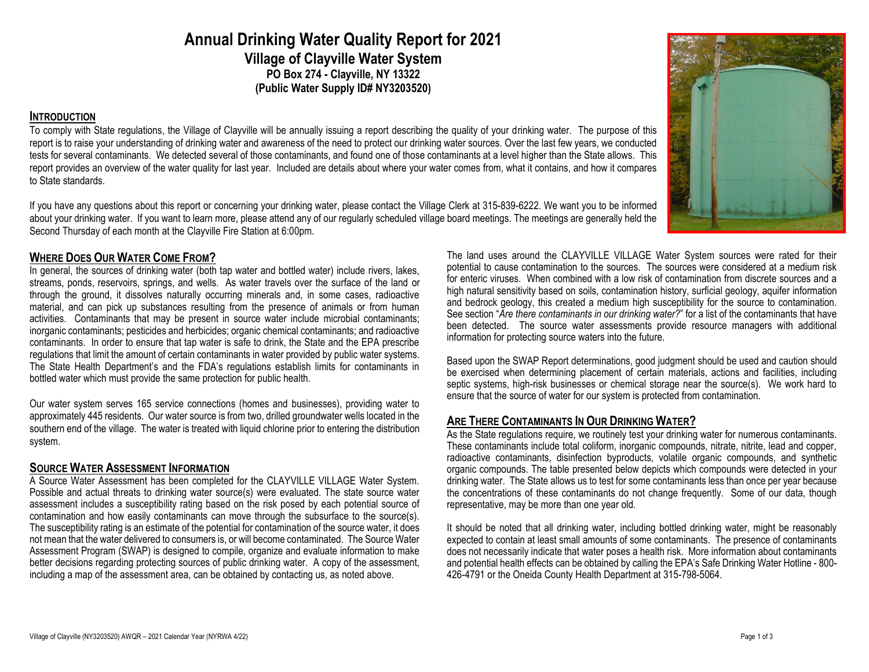**Annual Drinking Water Quality Report for 2021 Village of Clayville Water System PO Box 274 - Clayville, NY 13322 (Public Water Supply ID# NY3203520)**

#### **INTRODUCTION**

To comply with State regulations, the Village of Clayville will be annually issuing a report describing the quality of your drinking water. The purpose of this report is to raise your understanding of drinking water and awareness of the need to protect our drinking water sources. Over the last few years, we conducted tests for several contaminants. We detected several of those contaminants, and found one of those contaminants at a level higher than the State allows. This report provides an overview of the water quality for last year. Included are details about where your water comes from, what it contains, and how it compares to State standards.

If you have any questions about this report or concerning your drinking water, please contact the Village Clerk at 315-839-6222. We want you to be informed about your drinking water. If you want to learn more, please attend any of our regularly scheduled village board meetings. The meetings are generally held the Second Thursday of each month at the Clayville Fire Station at 6:00pm.

# **WHERE DOES OUR WATER COME FROM?**

In general, the sources of drinking water (both tap water and bottled water) include rivers, lakes, streams, ponds, reservoirs, springs, and wells. As water travels over the surface of the land or through the ground, it dissolves naturally occurring minerals and, in some cases, radioactive material, and can pick up substances resulting from the presence of animals or from human activities. Contaminants that may be present in source water include microbial contaminants; inorganic contaminants; pesticides and herbicides; organic chemical contaminants; and radioactive contaminants. In order to ensure that tap water is safe to drink, the State and the EPA prescribe regulations that limit the amount of certain contaminants in water provided by public water systems. The State Health Department's and the FDA's regulations establish limits for contaminants in bottled water which must provide the same protection for public health.

Our water system serves 165 service connections (homes and businesses), providing water to approximately 445 residents. Our water source is from two, drilled groundwater wells located in the southern end of the village. The water is treated with liquid chlorine prior to entering the distribution system.

### **SOURCE WATER ASSESSMENT INFORMATION**

A Source Water Assessment has been completed for the CLAYVILLE VILLAGE Water System. Possible and actual threats to drinking water source(s) were evaluated. The state source water assessment includes a susceptibility rating based on the risk posed by each potential source of contamination and how easily contaminants can move through the subsurface to the source(s). The susceptibility rating is an estimate of the potential for contamination of the source water, it does not mean that the water delivered to consumers is, or will become contaminated. The Source Water Assessment Program (SWAP) is designed to compile, organize and evaluate information to make better decisions regarding protecting sources of public drinking water. A copy of the assessment, including a map of the assessment area, can be obtained by contacting us, as noted above.

The land uses around the CLAYVILLE VILLAGE Water System sources were rated for their potential to cause contamination to the sources. The sources were considered at a medium risk for enteric viruses. When combined with a low risk of contamination from discrete sources and a high natural sensitivity based on soils, contamination history, surficial geology, aquifer information and bedrock geology, this created a medium high susceptibility for the source to contamination. See section "*Are there contaminants in our drinking water?*" for a list of the contaminants that have been detected. The source water assessments provide resource managers with additional information for protecting source waters into the future.

Based upon the SWAP Report determinations, good judgment should be used and caution should be exercised when determining placement of certain materials, actions and facilities, including septic systems, high-risk businesses or chemical storage near the source(s). We work hard to ensure that the source of water for our system is protected from contamination.

# **ARE THERE CONTAMINANTS IN OUR DRINKING WATER?**

As the State regulations reguire, we routinely test your drinking water for numerous contaminants. These contaminants include total coliform, inorganic compounds, nitrate, nitrite, lead and copper, radioactive contaminants, disinfection byproducts, volatile organic compounds, and synthetic organic compounds. The table presented below depicts which compounds were detected in your drinking water. The State allows us to test for some contaminants less than once per year because the concentrations of these contaminants do not change frequently. Some of our data, though representative, may be more than one year old.

It should be noted that all drinking water, including bottled drinking water, might be reasonably expected to contain at least small amounts of some contaminants. The presence of contaminants does not necessarily indicate that water poses a health risk. More information about contaminants and potential health effects can be obtained by calling the EPA's Safe Drinking Water Hotline - 800- 426-4791 or the Oneida County Health Department at 315-798-5064.

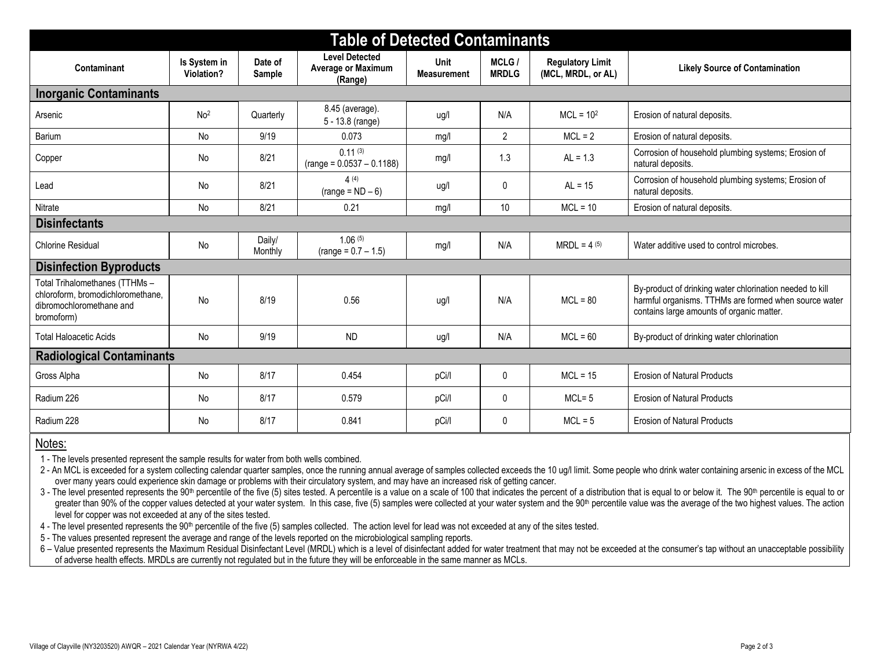| <b>Table of Detected Contaminants</b>                                                                         |                            |                   |                                                        |                                   |                       |                                               |                                                                                                                                                                |  |
|---------------------------------------------------------------------------------------------------------------|----------------------------|-------------------|--------------------------------------------------------|-----------------------------------|-----------------------|-----------------------------------------------|----------------------------------------------------------------------------------------------------------------------------------------------------------------|--|
| Contaminant                                                                                                   | Is System in<br>Violation? | Date of<br>Sample | <b>Level Detected</b><br>Average or Maximum<br>(Range) | <b>Unit</b><br><b>Measurement</b> | MCLG/<br><b>MRDLG</b> | <b>Regulatory Limit</b><br>(MCL, MRDL, or AL) | <b>Likely Source of Contamination</b>                                                                                                                          |  |
| <b>Inorganic Contaminants</b>                                                                                 |                            |                   |                                                        |                                   |                       |                                               |                                                                                                                                                                |  |
| Arsenic                                                                                                       | No <sup>2</sup>            | Quarterly         | 8.45 (average).<br>5 - 13.8 (range)                    | ug/l                              | N/A                   | $MCL = 102$                                   | Erosion of natural deposits.                                                                                                                                   |  |
| Barium                                                                                                        | <b>No</b>                  | 9/19              | 0.073                                                  | mg/l                              | $\overline{2}$        | $MCL = 2$                                     | Erosion of natural deposits.                                                                                                                                   |  |
| Copper                                                                                                        | <b>No</b>                  | 8/21              | 0.11(3)<br>$(range = 0.0537 - 0.1188)$                 | mg/l                              | 1.3                   | $AL = 1.3$                                    | Corrosion of household plumbing systems; Erosion of<br>natural deposits.                                                                                       |  |
| Lead                                                                                                          | No                         | 8/21              | 4(4)<br>$(range = ND - 6)$                             | ug/l                              | 0                     | $AL = 15$                                     | Corrosion of household plumbing systems; Erosion of<br>natural deposits.                                                                                       |  |
| Nitrate                                                                                                       | No                         | 8/21              | 0.21                                                   | mg/l                              | 10                    | $MCL = 10$                                    | Erosion of natural deposits.                                                                                                                                   |  |
| <b>Disinfectants</b>                                                                                          |                            |                   |                                                        |                                   |                       |                                               |                                                                                                                                                                |  |
| <b>Chlorine Residual</b>                                                                                      | <b>No</b>                  | Daily/<br>Monthly | 1.06(5)<br>$(range = 0.7 - 1.5)$                       | mg/l                              | N/A                   | $MRDL = 4(5)$                                 | Water additive used to control microbes.                                                                                                                       |  |
| <b>Disinfection Byproducts</b>                                                                                |                            |                   |                                                        |                                   |                       |                                               |                                                                                                                                                                |  |
| Total Trihalomethanes (TTHMs -<br>chloroform, bromodichloromethane,<br>dibromochloromethane and<br>bromoform) | No                         | 8/19              | 0.56                                                   | ug/l                              | N/A                   | $MCI = 80$                                    | By-product of drinking water chlorination needed to kill<br>harmful organisms. TTHMs are formed when source water<br>contains large amounts of organic matter. |  |
| <b>Total Haloacetic Acids</b>                                                                                 | No                         | 9/19              | <b>ND</b>                                              | ug/l                              | N/A                   | $MCL = 60$                                    | By-product of drinking water chlorination                                                                                                                      |  |
| <b>Radiological Contaminants</b>                                                                              |                            |                   |                                                        |                                   |                       |                                               |                                                                                                                                                                |  |
| Gross Alpha                                                                                                   | No                         | 8/17              | 0.454                                                  | pCi/l                             | 0                     | $MCL = 15$                                    | <b>Erosion of Natural Products</b>                                                                                                                             |  |
| Radium 226                                                                                                    | <b>No</b>                  | 8/17              | 0.579                                                  | pCi/l                             | 0                     | $MCL = 5$                                     | <b>Erosion of Natural Products</b>                                                                                                                             |  |
| Radium 228                                                                                                    | No                         | 8/17              | 0.841                                                  | pCi/l                             | 0                     | $MCL = 5$                                     | <b>Erosion of Natural Products</b>                                                                                                                             |  |

### Notes:

1 - The levels presented represent the sample results for water from both wells combined.

2 - An MCL is exceeded for a system collecting calendar quarter samples, once the running annual average of samples collected exceeds the 10 ug/l limit. Some people who drink water containing arsenic in excess of the MCL over many years could experience skin damage or problems with their circulatory system, and may have an increased risk of getting cancer.

3 - The level presented represents the 90<sup>th</sup> percentile of the five (5) sites tested. A percentile is a value on a scale of 100 that indicates the percent of a distribution that is equal to or below it. The 90<sup>th</sup> percent greater than 90% of the copper values detected at your water system. In this case, five (5) samples were collected at your water system and the 90<sup>th</sup> percentile value was the average of the two highest values. The action level for copper was not exceeded at any of the sites tested.

4 - The level presented represents the 90<sup>th</sup> percentile of the five (5) samples collected. The action level for lead was not exceeded at any of the sites tested.

5 - The values presented represent the average and range of the levels reported on the microbiological sampling reports.

6 – Value presented represents the Maximum Residual Disinfectant Level (MRDL) which is a level of disinfectant added for water treatment that may not be exceeded at the consumer's tap without an unacceptable possibility of of adverse health effects. MRDLs are currently not regulated but in the future they will be enforceable in the same manner as MCLs.